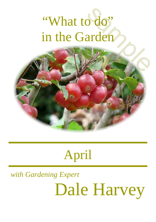# "What to do" in the Garden s do"<br>arden<br>Alexandro

### April

## *with Gardening Expert* Dale Harvey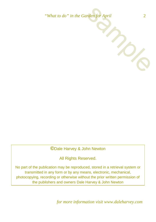*"What to do" in the Garden for April* 2



**©**Dale Harvey & John Newton

All Rights Reserved.

No part of the publication may be reproduced, stored in a retrieval system or transmitted in any form or by any means, electronic, mechanical, photocopying, recording or otherwise without the prior written permission of the publishers and owners Dale Harvey & John Newton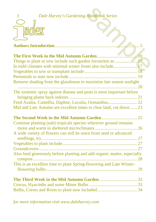

| 3<br><b>Dale Harvey's Gardening Handbook Series</b>                     |  |
|-------------------------------------------------------------------------|--|
|                                                                         |  |
|                                                                         |  |
|                                                                         |  |
|                                                                         |  |
|                                                                         |  |
|                                                                         |  |
| The First Week in the Mid Autumn Garden                                 |  |
|                                                                         |  |
| In mild climates with minimal winter frosts also include 17             |  |
|                                                                         |  |
|                                                                         |  |
| Remove shading from the glasshouse to maximise late season sunlight     |  |
|                                                                         |  |
| The systemic spray against disease and pests is most important before   |  |
|                                                                         |  |
| Feed Azalea, Camellia, Daphne, Luculia, Osmanthus 22                    |  |
| Mid and Late Autumn are excellent times to clear land, cut down  23     |  |
|                                                                         |  |
|                                                                         |  |
| Continue planting (sub) tropicals species wherever ground remains       |  |
|                                                                         |  |
| A wide variety of flowers can still be sown from seed or advanced       |  |
|                                                                         |  |
|                                                                         |  |
|                                                                         |  |
| Also feed generously before planting and add organic matter, especially |  |
|                                                                         |  |
| This is an excellent time to plant Spring-flowering and Late Winter-    |  |
|                                                                         |  |
|                                                                         |  |
|                                                                         |  |
|                                                                         |  |
|                                                                         |  |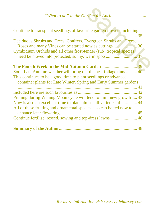### *"What to do" in the Garden for April* 4

| "What to do" in the Garden for April                                                                                                      | $\overline{A}$ |
|-------------------------------------------------------------------------------------------------------------------------------------------|----------------|
| Continue to transplant seedlings of favourite garden flowers including                                                                    | . 35           |
| Deciduous Shrubs and Trees, Conifers, Evergreen Shrubs and Trees,<br>Cymbidium Orchids and all other frost-tender (sub) tropical species  |                |
| This continues to be a good time to plant seedlings or advanced<br>container plants for Late Winter, Spring and Early Summer gardens      |                |
| Pruning during Waning Moon cycle will tend to limit new growth 43                                                                         |                |
| Now is also an excellent time to plant almost all varieties of: 44<br>All of these fruiting and ornamental species also can be fed now to |                |
|                                                                                                                                           |                |
|                                                                                                                                           |                |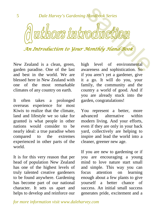uthors introducti

*An Introduction to Your Monthly Hand-Book*

<span id="page-4-0"></span>New Zealand is a clean, green, garden paradise. One of the last and best in the world. We are blessed here in New Zealand with one of the most remarkable climates of any country on earth.

It often takes a prolonged overseas experience for most Kiwis to realize that the climate, land and lifestyle we so take for granted is what people in other nations would consider to be nearly ideal: a true paradise when compared to the extremes experienced in other parts of the world.

It is for this very reason that per head of population New Zealand has one of the highest levels of truly talented creative gardeners to be found anywhere. Gardening has become part of our national character. It sets us apart and helps to develop and reinforce our high level of environmental awareness and sophistication. So if you aren't yet a gardener, give it a go. It will do you, your family, the community and the country a world of good. And if you are already stuck into the garden, congratulations!

You represent a better, more advanced alternative within modern living. And your efforts, even if they are only in your back yard, collectively are helping to inspire and lead the world into a cleaner, greener new age.

If you are new to gardening or if you are encouraging a young mind to love nature start small and simple. This way you can focus attention on learning enough about a few plants to give yourself a better chance of success. An initial small success generates pride, excitement and a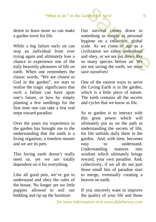desire to learn more so can make a garden lover for life.

While a big failure early on can stop an individual from ever trying again and ultimately lose a chance to experience one of the truly heavenly pleasures of life on earth. When one remembers the classic words, "We are closest to God in the garden", we start to realize the tragic significance that such a failure can have upon one's future, or how by simply planting a few seedlings for the first time one can take a few real steps toward paradise.

Over the years my experience in the garden has brought me to the understanding that the earth is a living organism, a timeless master and we are its pets.

This loving earth doesn't really need us, yet we are totally dependent on it for everything.

Like all good pets, we've got to understand and obey the rules of the house. No longer are we little puppies allowed to soil our bedding and rip up the furniture.

Our survival comes down to something as simple as personal hygiene on a collective, global scale. As we come of age as a civilization we either understand and obey, or we are put down like so many species before us. We are not saving the earth, we must save ourselves! and the same of the comes of the same of the same of the same of the same of the same of the same of the same of the same of the same of the same of the same of the same of the same of the same of the same of the same of t

One of the easiest ways to serve the Living Earth is in the garden, which is a little piece of nature. The earth contains all the secrets and cycles that we know as life.

So to garden is to interact with this great power which will ultimately put us on the path to understanding the secrets of life, for life unfolds daily there in the garden. And, with time, becomes easy to understand. Understanding matures into wisdom which ultimately brings reward, your own paradise. And, collectively, if we all do our part those small bits of paradise start to merge, eventually creating a heaven on earth.

If you sincerely want to improve the quality of your life and those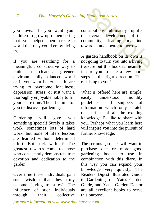you love... If you want your children to grow up remembering that you helped them create a world that they could enjoy living in.

If you are searching for a meaningful, constructive way to<br>huild a cleaner greener. a cleaner, greener, environmentally balanced world or if you want better health, are trying to overcome loneliness, depression, stress, or just want a thoroughly enjoyable hobby to fill your spare time. Then it's time for you to discover gardening.

Gardening will give you something special! Surely it takes work, sometimes lots of hard work, but none of life's lessons are learned without determined effort. But stick with it! The greatest rewards come to those who consistently demonstrate true devotion and dedication to the garden.

Over time these individuals gain such wisdom that they truly become "living treasures". The influence of such individuals through their collective

contributions ultimately uplifts the overall development of the community, leading mankind toward a much better tomorrow. Handbook Series<br>
ntributions ultimately uplifts<br>
exported to verall development of the<br>
mmunity, leading mankind<br>
ward a much better tomorrow.<br>
garden handbook on its own is<br>
t going to turn you into a living<br>
asure but th

A garden handbook on its own is not going to turn you into a living treasure but this book is meant to inspire you to take a few more steps in the right direction. The rest is up to you!

What is offered here are simple,<br>easily understood monthly easily understood guidelines and snippets of information which only scratch the surface of all the exciting knowledge I'd like to share with you. Perhaps what you learn here will inspire you into the pursuit of further knowledge.

The serious gardener will want to purchase one or more good gardening books to use in combination with this diary. In this way you can expand your knowledge very quickly. The Readers Digest illustrated Guide to Gardening, the Yates Garden Guide, and Yates Garden Doctor are all excellent books to serve this purpose.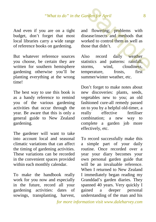And even if you are on a tight budget, don't forget that most local libraries carry a wide range of reference books on gardening.

But whatever reference sources you choose, be certain they are written for southern hemisphere gardening otherwise you'll be planting everything at the wrong time!

The best way to use this book is as a handy reference to remind you of the various gardening activities that occur through the year. Be aware that this is only a general guide to New Zealand gardening.

The gardener will want to take into account local and seasonal climatic variations that can affect the timing of gardening activities. These variations can be recorded in the convenient spaces provided within each monthly calendar.

To make the handbook really work for you now and especially in the future, record all your gardening activities: dates of sowings, transplanting, harvest, and flowering; problems with disease/insects and methods that worked to control them as well as those that didn't. and the same of the same of the same of the same of the same of the same of the same of the same of the same of the same of the same of the same of the same of the same of the same of the same of the same of the same of th

Also record daily weather statistics and patterns: rainfall, storms, wind, cloudiness, temperature, frosts, first summer/winter weather, etc.

Don't forget to make notes about new discoveries: plants, seeds, vegetables new to you; an old fashioned cure-all remedy passed on to you by a helpful old-timer, a really effective fertiliser combination; a new way to complete a garden job more effectively, etc.

To record successfully make this a simple part of your daily routine. Once recorded over a year your diary becomes your own personal garden guide that will be an invaluable reference. When I returned to New Zealand I immediately began reading my Granddad's garden diaries. They spanned 40 years. Very quickly I gained a deeper personal understanding of the man and his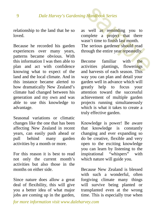relationship to the land that he so loved.

Because he recorded his garden experiences over many years, patterns became obvious. With this information I was then able to plan and act with confidence knowing what to expect of the land and the local climate. And in this instance became alerted to how dramatically New Zealand's climate had changed between his generation and my own and was able to use this knowledge to advantage.

Seasonal variations or climatic changes like the one that has been affecting New Zealand in recent years, can easily push ahead or pull behind many garden activities by a month or more.

For this reason it is best to read not only the current month's activities but also those in the months on either side.

Since nature does allow a great deal of flexibility, this will give you a better idea of what major jobs are coming up in the garden, as well as reminding you to complete a project that there wasn't time to finish last month. The serious gardener should read through the entire year repeatedly. Handbook Series<br>well as reminding you to<br>mplete a project that there<br>sn't time to finish last month.<br>e serious gardener should read<br>ough the entire year repeatedly.<br>come familiar with the<br>ivities plantings, flowerings<br>d ha

Become familiar with the activities plantings, flowerings activities plantings, and harvests of each season. This way you can plan and detail your garden well in advance which will greatly help to focus your attention toward the successful achievement of multiple garden projects running simultaneously which is what it takes to create a truly effective garden.

Knowledge is power! Be aware that knowledge is constantly changing and ever expanding so do be creative, flexible and very open to the exciting knowledge you can learn by listening to the inspirational "whispers" with which nature will guide you.

Because New Zealand is blessed with such a wonderful, often forgiving climate many things will survive being planted or transplanted even at the wrong time. This is especially true when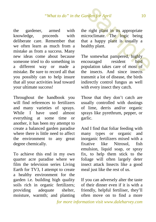the gardener, armed with<br>knowledge, proceeds with knowledge, proceeds with deliberate care. Remember that we often learn as much from a mistake as from a success. Many new ideas come about because someone tried to do something in a different way or made a mistake. Be sure to record all that you possibly can to help insure that all your activities lead toward your ultimate success!

Throughout the handbook you will find references to fertilizers and many varieties of sprays. While I have used almost everything at some time or another, it has been my attempt to create a balanced garden paradise where there is little need to affect the environment to any great degree chemically.

To achieve this end in my own quarter acre paradise where we film the television series Living Earth for TV3, I attempt to create a healthy environment for the garden i.e. building high quality soils rich in organic fertilizers; providing adequate shelter, moisture, warmth; and planting

the right plant in its appropriate microclimate. The logic being that a happy plant is usually a healthy plant. and the same of the same of the same of the same of the same of the same of the same of the same of the same of the same of the same of the same of the same of the same of the same of the same of the same of the same of th

The somewhat pampered, highly<br>encouraged resident bird encouraged resident bird population takes care of most of the insects. And since insects transmit a lot of disease, the birds indirectly control fungus as well with every insect they catch.

Those that they don't catch are usually controlled with dustings of lime, derris and/or organic sprays like pyrethrum, pepper, or garlic.

And I find that foliar feeding with many types or organic and inorganic fertilizers mixed with a fixative like Nitrosol, fish emulsion, liquid soap, or spray fix, to help them stick to the foliage will often largely deter insect attack Insects like a good meal just like the rest of us.

If you can adversely alter the taste of their dinner even if it is with a friendly, helpful fertiliser, they'll often move on to find a more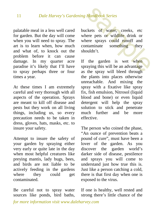palatable meal in a less well cared for garden. But the day will come when you will need to spray. The art is to learn when, how much and what of, to knock out the problem before it can cause damage. In my quarter acre paradise it's likely that I'll have to spray perhaps three or four times a year.

At these times I am extremely careful and very thorough with all aspects of the operation. Sprays are meant to kill off disease and pests but they work on all living things, including us, so every precaution needs to be taken in dress, gloves, hats, masks, etc. to insure your safety.

Attempt to insure the safety of your garden by spraying either very early or quite late in the day when most helpful creatures like preying mantis, lady bugs, bees, and birds are not liable to be actively feeding in the gardens where they could get contaminated.

Be careful not to spray water sources like ponds, bird baths, buckets of water, creeks, etc where pets or wildlife drink or where sprays could runoff and contaminate something they shouldn't. Handbook Series<br>
ckets of water, creeks, etc<br>
ere pets or wildlife drink or<br>
ere sprays could runoff and<br>
ntaminate something they<br>
buldn't.<br>
the garden is wet when<br>
raying this will be an advantage<br>
the spray will bleed t

If the garden is wet when spraying this will be an advantage as the spray will bleed through the plants into places otherwise unreachable. And mixing the spray with a fixative like spray fix, fish emulsion, Nitrosol (liquid blood and bone) or even liquid detergent will help the spray solution to stick and penetrate much further and be more effective.

The person who coined the phase, "An ounce of prevention beats a pound of cure", must have been a lover of the garden. As you discover the garden world's darker side of disease, pestilence and sprays you will come to understand just how true this is. Just like a person catching a cold, there is that first day when one is exposed to the virus.

If one is healthy, well rested and strong there's little chance of the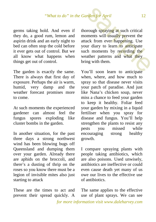germs taking hold. And even if they do, a good rum, lemon and aspirin drink and an early night to bed can often stop the cold before it ever gets out of control. But we all know what happens when things get out of control.

The garden is exactly the same. There is always that first day of exposure. Perhaps the air is warm, humid, very damp and the weather forecast promises more to come.

At such moments the experienced gardener can almost feel the fungus spores exploding like cluster bombs in the garden.

In another situation, for the past three days a strong northwest wind has been blowing bugs off Queensland and dumping them over your garden. Already there are aphids on the broccoli, and there's a dusting of thrip on the roses so you know there must be a legion of invisible mites also just starting to attack

These are the times to act and prevent their spread quickly. A

thorough spraying at such critical moments will usually prevent the attack from ever happening. Use your diary to learn to anticipate such moments by recording the weather patterns and what they bring with them. **Example 12**<br> **Solution 12**<br> **Solution 12**<br> **Solution 12**<br> **Solution 12**<br> **Solution 12**<br> **Solution 12**<br> **Colution 12**<br> **Colution 12**<br> **Colution 12**<br> **Colution 12**<br> **Colution 12**<br> **Colution 12**<br> **Colution 12**<br> **Colution 12** 

You'll soon learn to anticipate when, where, and how much to spray so that disease never visits your patch of paradise. And just like Nana's chicken soup, never miss a chance to feed your garden to keep it healthy. Foliar feed your garden by mixing in a liquid fertiliser when you spray for disease and fungus. You'll help strengthen the plants to resist any<br>pests vou missed while missed encouraging strong healthy growth.

I compare spraying plants with people taking antibiotics, which are also poisons. Used unwisely, antibiotics are ineffective or could even cause death yet many of us owe our lives to the effective use of antibiotics.

The same applies to the effective use of plant sprays. We can see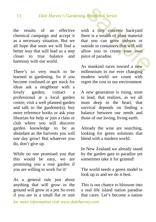the results of an effective chemical campaign and accept it as a necessary situation. But we all hope that soon we will find a better way that will lead us a step closer to true balance and harmony with our world.

There's so very much to be learned in gardening. So if you become confused or get stuck for ideas ask a neighbour with a lovely garden; contact a professional at a local garden centre; visit a well planned garden and talk to the gardener(s); buy more reference books or ask your librarian for help or join a class or club where you will discover garden knowledge to be as abundant as the harvests you will one day grow! But whatever you do, don't give up.

While no one promised you that this would be easy, we are promising you a rose garden if you are willing to work for it!

As a general rule just about anything that will grow in the ground will grow in a pot So even if you are in a small flat or unit with a tiny concrete backyard there is a wealth of plant material that you can grow indoors or outside in containers that will still allow you to create your own piece of paradise. Handbook Series<br>th a tiny concrete backyard<br>re is a wealth of plant material<br>t you can grow indoors or<br>tside in containers that will still<br>ow you to create your own<br>ce of paradise.<br>mankind races toward a new<br>llennium in ou

As mankind races toward a new millennium in our ever changing modern world we count with regret the cost to our environment

A new generation is rising, soon to lead, that realizes, as we all must deep in the heart, that survival depends on finding a balance between our needs and those of our loving, living earth.

Already the wise are searching, looking for green solutions that blend with a modern world.

In New Zealand we already stand by the garden gate to paradise yet sometimes take it for granted!

The world needs a green model to look up to and we do it best.

This is our chance to blossom into a real life island nation paradise that cares. Let's become a nation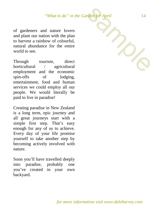of gardeners and nature lovers and plant our nation with the plan to harvest a rainbow of colourful, natural abundance for the entire world to see.

Through tourism, direct horticultural / agricultural employment and the economic spin-offs of lodging, entertainment, food and human services we could employ all our people. We would literally be paid to live in paradise!

Creating paradise in New Zealand is a long term, epic journey and all great journeys start with a simple first step. That's easy enough for any of us to achieve. Every day of your life promise yourself to take another step by becoming actively involved with nature.

Soon you'll have travelled deeply into paradise, probably one you've created in your own backyard.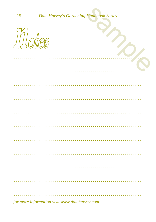$P_{\bigwedge}$ 



|  |  |  |  |  |  |  |  |  |  |  |  |  |                                                                                                                                                                                                                                                                                                                   |  |  |  |  |  | <u>Communications</u> |  |
|--|--|--|--|--|--|--|--|--|--|--|--|--|-------------------------------------------------------------------------------------------------------------------------------------------------------------------------------------------------------------------------------------------------------------------------------------------------------------------|--|--|--|--|--|-----------------------|--|
|  |  |  |  |  |  |  |  |  |  |  |  |  |                                                                                                                                                                                                                                                                                                                   |  |  |  |  |  |                       |  |
|  |  |  |  |  |  |  |  |  |  |  |  |  |                                                                                                                                                                                                                                                                                                                   |  |  |  |  |  |                       |  |
|  |  |  |  |  |  |  |  |  |  |  |  |  |                                                                                                                                                                                                                                                                                                                   |  |  |  |  |  |                       |  |
|  |  |  |  |  |  |  |  |  |  |  |  |  |                                                                                                                                                                                                                                                                                                                   |  |  |  |  |  |                       |  |
|  |  |  |  |  |  |  |  |  |  |  |  |  |                                                                                                                                                                                                                                                                                                                   |  |  |  |  |  |                       |  |
|  |  |  |  |  |  |  |  |  |  |  |  |  |                                                                                                                                                                                                                                                                                                                   |  |  |  |  |  |                       |  |
|  |  |  |  |  |  |  |  |  |  |  |  |  |                                                                                                                                                                                                                                                                                                                   |  |  |  |  |  |                       |  |
|  |  |  |  |  |  |  |  |  |  |  |  |  |                                                                                                                                                                                                                                                                                                                   |  |  |  |  |  |                       |  |
|  |  |  |  |  |  |  |  |  |  |  |  |  |                                                                                                                                                                                                                                                                                                                   |  |  |  |  |  |                       |  |
|  |  |  |  |  |  |  |  |  |  |  |  |  |                                                                                                                                                                                                                                                                                                                   |  |  |  |  |  |                       |  |
|  |  |  |  |  |  |  |  |  |  |  |  |  |                                                                                                                                                                                                                                                                                                                   |  |  |  |  |  |                       |  |
|  |  |  |  |  |  |  |  |  |  |  |  |  |                                                                                                                                                                                                                                                                                                                   |  |  |  |  |  |                       |  |
|  |  |  |  |  |  |  |  |  |  |  |  |  |                                                                                                                                                                                                                                                                                                                   |  |  |  |  |  |                       |  |
|  |  |  |  |  |  |  |  |  |  |  |  |  |                                                                                                                                                                                                                                                                                                                   |  |  |  |  |  |                       |  |
|  |  |  |  |  |  |  |  |  |  |  |  |  |                                                                                                                                                                                                                                                                                                                   |  |  |  |  |  |                       |  |
|  |  |  |  |  |  |  |  |  |  |  |  |  |                                                                                                                                                                                                                                                                                                                   |  |  |  |  |  |                       |  |
|  |  |  |  |  |  |  |  |  |  |  |  |  |                                                                                                                                                                                                                                                                                                                   |  |  |  |  |  |                       |  |
|  |  |  |  |  |  |  |  |  |  |  |  |  |                                                                                                                                                                                                                                                                                                                   |  |  |  |  |  |                       |  |
|  |  |  |  |  |  |  |  |  |  |  |  |  |                                                                                                                                                                                                                                                                                                                   |  |  |  |  |  |                       |  |
|  |  |  |  |  |  |  |  |  |  |  |  |  |                                                                                                                                                                                                                                                                                                                   |  |  |  |  |  |                       |  |
|  |  |  |  |  |  |  |  |  |  |  |  |  |                                                                                                                                                                                                                                                                                                                   |  |  |  |  |  |                       |  |
|  |  |  |  |  |  |  |  |  |  |  |  |  |                                                                                                                                                                                                                                                                                                                   |  |  |  |  |  |                       |  |
|  |  |  |  |  |  |  |  |  |  |  |  |  |                                                                                                                                                                                                                                                                                                                   |  |  |  |  |  |                       |  |
|  |  |  |  |  |  |  |  |  |  |  |  |  |                                                                                                                                                                                                                                                                                                                   |  |  |  |  |  |                       |  |
|  |  |  |  |  |  |  |  |  |  |  |  |  |                                                                                                                                                                                                                                                                                                                   |  |  |  |  |  |                       |  |
|  |  |  |  |  |  |  |  |  |  |  |  |  |                                                                                                                                                                                                                                                                                                                   |  |  |  |  |  |                       |  |
|  |  |  |  |  |  |  |  |  |  |  |  |  |                                                                                                                                                                                                                                                                                                                   |  |  |  |  |  |                       |  |
|  |  |  |  |  |  |  |  |  |  |  |  |  |                                                                                                                                                                                                                                                                                                                   |  |  |  |  |  |                       |  |
|  |  |  |  |  |  |  |  |  |  |  |  |  |                                                                                                                                                                                                                                                                                                                   |  |  |  |  |  |                       |  |
|  |  |  |  |  |  |  |  |  |  |  |  |  |                                                                                                                                                                                                                                                                                                                   |  |  |  |  |  |                       |  |
|  |  |  |  |  |  |  |  |  |  |  |  |  |                                                                                                                                                                                                                                                                                                                   |  |  |  |  |  |                       |  |
|  |  |  |  |  |  |  |  |  |  |  |  |  |                                                                                                                                                                                                                                                                                                                   |  |  |  |  |  |                       |  |
|  |  |  |  |  |  |  |  |  |  |  |  |  |                                                                                                                                                                                                                                                                                                                   |  |  |  |  |  |                       |  |
|  |  |  |  |  |  |  |  |  |  |  |  |  |                                                                                                                                                                                                                                                                                                                   |  |  |  |  |  |                       |  |
|  |  |  |  |  |  |  |  |  |  |  |  |  |                                                                                                                                                                                                                                                                                                                   |  |  |  |  |  |                       |  |
|  |  |  |  |  |  |  |  |  |  |  |  |  |                                                                                                                                                                                                                                                                                                                   |  |  |  |  |  |                       |  |
|  |  |  |  |  |  |  |  |  |  |  |  |  |                                                                                                                                                                                                                                                                                                                   |  |  |  |  |  |                       |  |
|  |  |  |  |  |  |  |  |  |  |  |  |  |                                                                                                                                                                                                                                                                                                                   |  |  |  |  |  |                       |  |
|  |  |  |  |  |  |  |  |  |  |  |  |  |                                                                                                                                                                                                                                                                                                                   |  |  |  |  |  |                       |  |
|  |  |  |  |  |  |  |  |  |  |  |  |  |                                                                                                                                                                                                                                                                                                                   |  |  |  |  |  |                       |  |
|  |  |  |  |  |  |  |  |  |  |  |  |  |                                                                                                                                                                                                                                                                                                                   |  |  |  |  |  |                       |  |
|  |  |  |  |  |  |  |  |  |  |  |  |  |                                                                                                                                                                                                                                                                                                                   |  |  |  |  |  |                       |  |
|  |  |  |  |  |  |  |  |  |  |  |  |  |                                                                                                                                                                                                                                                                                                                   |  |  |  |  |  |                       |  |
|  |  |  |  |  |  |  |  |  |  |  |  |  |                                                                                                                                                                                                                                                                                                                   |  |  |  |  |  |                       |  |
|  |  |  |  |  |  |  |  |  |  |  |  |  |                                                                                                                                                                                                                                                                                                                   |  |  |  |  |  |                       |  |
|  |  |  |  |  |  |  |  |  |  |  |  |  |                                                                                                                                                                                                                                                                                                                   |  |  |  |  |  |                       |  |
|  |  |  |  |  |  |  |  |  |  |  |  |  |                                                                                                                                                                                                                                                                                                                   |  |  |  |  |  |                       |  |
|  |  |  |  |  |  |  |  |  |  |  |  |  |                                                                                                                                                                                                                                                                                                                   |  |  |  |  |  |                       |  |
|  |  |  |  |  |  |  |  |  |  |  |  |  |                                                                                                                                                                                                                                                                                                                   |  |  |  |  |  |                       |  |
|  |  |  |  |  |  |  |  |  |  |  |  |  |                                                                                                                                                                                                                                                                                                                   |  |  |  |  |  |                       |  |
|  |  |  |  |  |  |  |  |  |  |  |  |  |                                                                                                                                                                                                                                                                                                                   |  |  |  |  |  |                       |  |
|  |  |  |  |  |  |  |  |  |  |  |  |  |                                                                                                                                                                                                                                                                                                                   |  |  |  |  |  |                       |  |
|  |  |  |  |  |  |  |  |  |  |  |  |  |                                                                                                                                                                                                                                                                                                                   |  |  |  |  |  |                       |  |
|  |  |  |  |  |  |  |  |  |  |  |  |  |                                                                                                                                                                                                                                                                                                                   |  |  |  |  |  |                       |  |
|  |  |  |  |  |  |  |  |  |  |  |  |  |                                                                                                                                                                                                                                                                                                                   |  |  |  |  |  |                       |  |
|  |  |  |  |  |  |  |  |  |  |  |  |  |                                                                                                                                                                                                                                                                                                                   |  |  |  |  |  |                       |  |
|  |  |  |  |  |  |  |  |  |  |  |  |  |                                                                                                                                                                                                                                                                                                                   |  |  |  |  |  |                       |  |
|  |  |  |  |  |  |  |  |  |  |  |  |  |                                                                                                                                                                                                                                                                                                                   |  |  |  |  |  |                       |  |
|  |  |  |  |  |  |  |  |  |  |  |  |  |                                                                                                                                                                                                                                                                                                                   |  |  |  |  |  |                       |  |
|  |  |  |  |  |  |  |  |  |  |  |  |  |                                                                                                                                                                                                                                                                                                                   |  |  |  |  |  |                       |  |
|  |  |  |  |  |  |  |  |  |  |  |  |  |                                                                                                                                                                                                                                                                                                                   |  |  |  |  |  |                       |  |
|  |  |  |  |  |  |  |  |  |  |  |  |  |                                                                                                                                                                                                                                                                                                                   |  |  |  |  |  |                       |  |
|  |  |  |  |  |  |  |  |  |  |  |  |  |                                                                                                                                                                                                                                                                                                                   |  |  |  |  |  |                       |  |
|  |  |  |  |  |  |  |  |  |  |  |  |  |                                                                                                                                                                                                                                                                                                                   |  |  |  |  |  |                       |  |
|  |  |  |  |  |  |  |  |  |  |  |  |  |                                                                                                                                                                                                                                                                                                                   |  |  |  |  |  |                       |  |
|  |  |  |  |  |  |  |  |  |  |  |  |  |                                                                                                                                                                                                                                                                                                                   |  |  |  |  |  |                       |  |
|  |  |  |  |  |  |  |  |  |  |  |  |  |                                                                                                                                                                                                                                                                                                                   |  |  |  |  |  |                       |  |
|  |  |  |  |  |  |  |  |  |  |  |  |  |                                                                                                                                                                                                                                                                                                                   |  |  |  |  |  |                       |  |
|  |  |  |  |  |  |  |  |  |  |  |  |  | $\mathcal{L}$ and $\mathcal{L}$ and $\mathcal{L}$ and $\mathcal{L}$ and $\mathcal{L}$ and $\mathcal{L}$ and $\mathcal{L}$ and $\mathcal{L}$ and $\mathcal{L}$ and $\mathcal{L}$ and $\mathcal{L}$ and $\mathcal{L}$ and $\mathcal{L}$ and $\mathcal{L}$ and $\mathcal{L}$ and $\mathcal{L}$ and $\mathcal{L}$ and |  |  |  |  |  |                       |  |

for more information visit www.daleharvey.com

15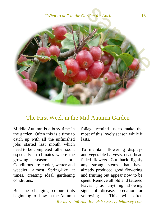*"What to do" in the Garden for April* 16



#### The First Week in the Mid Autumn Garden

<span id="page-15-0"></span>Middle Autumn is a busy time in the garden. Often this is a time to catch up with all the unfinished jobs started last month which need to be completed rather soon, especially in climates where the growing season is short. Conditions are cooler, wetter and weedier; almost Spring-like at times, creating ideal gardening conditions.

But the changing colour tints beginning to show in the Autumn

foliage remind us to make the most of this lovely season while it lasts.

To maintain flowering displays and vegetable harvests, dead-head faded flowers. Cut back lightly any strong stems that have already produced good flowering and fruiting but appear now to be spent. Remove all old and tattered leaves plus anything showing signs of disease, predation or yellowing. This will often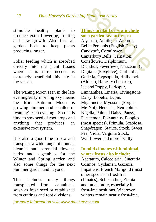stimulate healthy plants to produce extra flowering, fruiting and new growth. Also feed all<br>garden beds to keep plants garden beds to keep plants producing longer.

Foliar feeding which is absorbed directly into the plant tissues where it is most needed is extremely beneficial this late in the season.

The waning Moon seen in the late evening/early morning sky means the Mid Autumn Moon is growing dimmer and smaller or 'waning' each evening. So this is time to sow seed of root crops and anything that produces an extensive root system.

It is also a good time to sow and transplant a wide range of annual, biennial and perennial flowers, herbs and vegetables for the Winter and Spring garden and also some things for the next Summer garden and beyond.

This includes many things transplanted from containers, sown as fresh seed or established from cuttings and root divisions.

<span id="page-16-0"></span>**Things to plant or sow include such garden favourites as:**  Alyssum, Aquilegia, Arctotis, Bellis Perennis (English Daisy), Candytuft, Cornflower, Canterbury Bells, Carnation, Coneflower, Delphinium, Dianthus, Feverfew (Tanacetum) , Digitalis (Foxglove), Gaillardia, Godetia, Gypsophila, Hollyhock (Althea), Honesty (Lunaria), Iceland Poppy, Larkspur, Limnanthes, Linaria, Livingstone Daisy, Lobelia, Lupin, Mignonette, Myosotis (Forget-Me-Not), Nemesia, Nemophila, Nigella, Painted Daisy, Pansy, Penstemon, Polyanthus, Poppies (most species), Primula, Scabiosa, Snapdragon, Statice, Stock, Sweet Pea, Viola, Virginia Stock, Wallflower and more locally. Handbook Series<br>
ings to plant or sow include<br>
ch garden favourites as:<br>
yssum, Aquilegia, Arctotis,<br>
Ilis Perennis (English Daisy),<br>
ndytuft, Cornflower,<br>
nterbury Bells, Carnation,<br>
nneflower, Delphinium,<br>
anthus, Feverf

#### <span id="page-16-1"></span>**In mild climates with minimal winter frosts also include:**

Ageratum, Calceolaria, Cineraria, Cosmos, Cyclamen, Gazania, Impatiens, French Marigold (most other species in frost-free climates), Schizanthus, Zinnia and much more, especially in frost-free positions. Wherever winters remain nearly frost-free,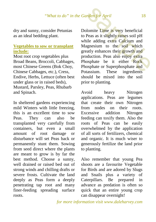dry and sunny, consider Petunias as an ideal bedding plant.

#### <span id="page-17-0"></span>**Vegetables to sow or transplant include:**

Most root crop vegetables plus Broad Beans, Broccoli, Cabbages, most Chinese Greens (Bok Choy, Chinese Cabbages, etc.), Cress, Endive, Herbs, Lettuce (often best under glass or in raised beds), Mustard, Parsley, Peas, Rhubarb and Spinach.

In sheltered gardens experiencing mild Winters with little freezing, this is an excellent time to sow Peas. They can also be transplanted very carefully from containers, but even a small amount of root damage or disturbance will set Peas back or permanently stunt them. Sowing from seed direct where the plants are meant to grow is by far the best method. Choose a sunny, well drained or raised bed out of strong winds and chilling drafts or severe frosts. Cultivate the land deeply as Peas form a deeply penetrating tap root and many finer-feeding spreading surface roots.

Dolomite Lime is very beneficial to Peas as it slightly raises soil pH while adding extra Calcium and Magnesium to the soil which greatly enhances their growth and production. Peas also enjoy extra Phosphate be it either Rock Phosphate or Superphosphate and Potassium. These ingredients should be mixed into the soil prior to planting. **Example 18**<br> **Solution 18**<br> **Solution 18**<br> **Solution 18**<br> **Solution 18**<br> **Solution 18**<br> **Solution 19**<br> **Solution 19**<br> **Solution 19**<br> **Solution 19**<br> **Solution 19**<br> **Solution 19**<br> **Solution 19**<br> **Solution 19**<br> **Solution 19** 

Avoid heavy Nitrogen applications. Peas are legumes that create their own Nitrogen from nodes on their roots. Excessive addition Nitrogen feeding can toxify them. Also the roots of Peas can be easily overwhelmed by the application of all sorts of fertilizers, chemical and organic. It is much wiser to generously fertilize the land prior to planting.

Also remember that young Pea shoots are a favourite Vegetable for Birds and are adored by Slugs and Snails plus a variety of Caterpillars. Be prepared in advance as predation is often so quick that an entire young crop can disappear overnight!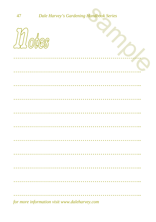$P_{\bigwedge}$ 



|  | for more information visit www.daleharvey.com |  |
|--|-----------------------------------------------|--|

47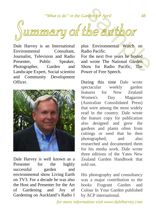*"What to do" in the Garden for April* 48

<span id="page-19-0"></span>('unnnary of the author

Dale Harvey is an International<br>Environmental Consultant. Environmental Journalist, Television and Radio Presenter, Public Speaker, Photographer, Garden and Landscape Expert, Social scientist and Community Development Officer.



Dale Harvey is well known as a Presenter for the highly successful garden and environmental show Living Earth on TV3. For a decade he was also the Host and Presenter for the Art of Gardening and Joy of Gardening on Auckland's Radio I

plus Environmental Watch on Radio Pacific.

For the next five years he hosted and wrote The National Garden Show for Radio Pacific, The Power of Free Speech.

During this time Dale wrote spectacular weekly garden features for New Zealand Women's Day Magazine (Australian Consolidated Press) that were among the most widely read in the country. Dale wrote the feature copy for publication also designed and grew the gardens and plants often from cuttings or seed that he then photographed; and also researched and documented them for his media work. Dale wrote three editions of the Yates New Zealand Garden Handbook that sold out.

His photography and consultancy was a major contribution to the books Fragrant Garden and Colour In Your Garden published by ACP international.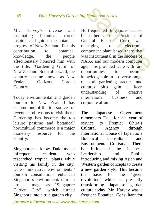Mr. Harvey's diverse and fascinating botanical career inspired and guided the botanical progress of New Zealand. For his contribution to botanical knowledge, the people affectionately honored him with the title, 'Gardening Guru' of New Zealand. Soon afterward, the country became known as New Zealand, Godzone Garden Country.

Today environmental and garden tourism to New Zealand has become one of the top sources of revenue and reasons to visit there. Gardening has become the top leisure pastime and botanical/ horticultural commerce is a major monetary resource for the country.

Singaporeans know Dale as an infrequent resident who researched tropical plants while visiting his family in the city. Dale's innovative environmental/ tourism consultations enhanced Singapore's environment/ tourism project image as "Singapore<br>Garden City", which turned Garden City", which turned Singapore into a true garden city.

He frequented Singapore because his father, a Vice President of General Electric Corp. was managing the electronic component plant based there that was instrumental in the success of NASA and our modern computer age. This provided Dale with rare opportunities to become knowledgeable in a diverse range of exotic gardening practices and cultures plus gain a keen understanding of creative international business and corporate affairs. Handbook Series<br>
Frequented Singapore because<br>
Frequented Singapore because<br>
Frequented Singapore because<br>
Interval Electric Corp. was<br>
interval and the electronic<br>
mponent plant based there that<br>
is instrumental in the su

The Japanese Government remembers Dale for his year of service to Premier Ohira's Cultural Agency through International House of Japan as a Botanical Consultant and Environmental Craftsman. There he influenced the Japanese Leadership and Public introducing and mixing Asian and Western garden concepts to create a new garden style. This became the basis for the 'green revolution' which is presently transforming Japanese garden culture today. Mr. Harvey was a frequent Botanical Consultant for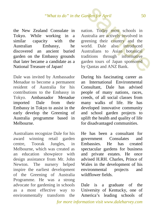the New Zealand Consulate in Tokyo. While working in a<br>similar capacity with the capacity with the Australian Embassy, he discovered an ancient buried garden on the Embassy grounds that later became a candidate as a National Treasure of Japan!

Dale was invited by Ambassador Menadue to become a permanent resident of Australia for his contributions to the Embassy in Tokyo. Ambassador Menadue imported Dale from their Embassy in Tokyo to assist in the early develop the Greening of Australia programme based in Melbourne.

Australians recognize Dale for his award winning retail garden centre, Toorak Jungles, in Melbourne, which was created as an education showpiece with design assistance from Mr. John Newton. The nursery helped inspire the earliest development of the Greening of Australia Programme. He was a strong advocate for gardening in schools as a most effective way to environmentally transform the nation. Today most schools in Australia are actively involved in greening their country and the world. Dale also introduced Australians to Asian botanical traditions through informative garden tours of Japan sponsored by Qantas and ANZ Bank. For April 50<br>
ion. Today most schools in<br>
istralia are actively involved in<br>
sening their country and the<br>
orld. Dale also introduced<br>
istralians to Asian botanical<br>
ditions through informative<br>
rden tours of Japan sponsor

During his fascinating career as an International Environmental Consultant, Dale has advised people of many nations, races, creeds, of all social classes from many walks of life. He has developed innovative community and school garden projects to uplift the health and quality of life for disadvantaged communities.

He has been a consultant for government Consulates and Embassies. He has created spectacular gardens for business and private estates. He once advised H.RH. Charles, Prince of Wales in the development of his environmental projects and wildflower fields.

Dale is a graduate of the University of Kentucky, one of America's leading schools of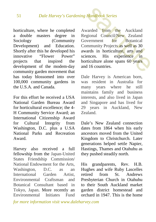horticulture, where he completed a double masters degree in Sociology (Community Development) and Education. Shortly after this he developed his<br>innovative "Flower" Power" "Flower Power" projects that inspired the development of the modem-day community garden movement that has today blossomed into over 100,000 community gardens in the U.S.A. and Canada.

For this effort he received a USA National Garden Bureau Award for horticultural excellence; the 4- H Community Service Award; an International Citizenship Award for Cultural Integrity from Washington, D.C. plus a U.SA National Parks and Recreation Award.

Harvey also received a full fellowship from the Japan-United States Friendship Commission/ National Endowment for the Arts, Washington, D.C. as an International Garden Artist, Environmental Craftsman and Botanical Consultant based in Tokyo, Japan. More recently an Environmental Initiates Fund Awarded from the Auckland Regional Council/New Zealand Government for Botanical Community Projects as well as 30 awards in horticulture, arts and<br>sciences. His experience in sciences. His experience in horticulture alone spans 60 years and 16 countries. Handbook Series<br>
varded from the Auckland<br>
gional Council/New Zealand<br>
vernment for Botanical<br>
mmunity Projects as well as 30<br>
ards in horticulture, arts and<br>
ences. His experience in<br>
rticulture alone spans 60 years<br>
d 16

Dale Harvey is American born, was resident in Australia for many years where he still maintains family and business interests, and also lived in Japan and Singapore and has lived for 29 years in Auckland, New Zealand.

Dale's New Zealand connection dates from 1864 when his early ancestors moved from the United Kingdom to Christchurch. Later generations helped settle Napier, Hastings, Thames and Otahuhu as they pushed steadily north.

His grandparents, Rev. H.B. Hughes and wife Ruby Lascelles retired from St. Andrews Presbyterian Church in Otahuhu to their South Auckland market garden district homestead and orchard in 1947. This is the home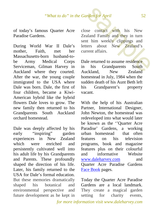#### *"What to do" in the Garden for April* 52

of today's famous Quarter Acre Paradise Gardens.

During World War II Dale's mother, Faith, met her Massachusetts-born husband-tobe Army Medical Corps Serviceman, Gilman Harvey in Auckland where they courted. After the war, the young couple immigrated to the USA where Dale was born. Dale, the first of four children, became a Kiwi-American hybrid like the hybrid flowers Dale loves to grow. The new family then returned to his Grandparents South Auckland orchard homestead.

Dale was deeply affected by his early "inspiring" garden experiences in New Zealand which were enriched and persistently cultivated well into his adult life by his Grandparents and Parents. These profoundly shaped the direction of his life. Later, his family returned to the USA for Dale's formal education. But these memories dramatically shaped his botanical and environmental perspective and future development as he kept in

close contact with his New Zealand Family and they in turn sent him weekly clippings and letters about New Zealand's current affairs. For April 52<br>
Sample of April 52<br>
Sample of April 152<br>
Sample of April 153<br>
Sample of April 153<br>
Sample of April 163<br>
Sample of April 164<br>
Sample of April 164<br>
Sample of April 164<br>
Sample of April 164<br>
Sample of April 164<br>

Dale returned to assume residence<br>in his Grandparents South in his Grandparents Auckland, New Zealand homestead in July, 1984 when the sudden death of his Aunt Beth left his Grandparent's property vacant.

With the help of his Australian Partner, International Designer, John Newton, the homestead was redeveloped into what would later be known as the ''Quarter Acre Paradise' Gardens, a working urban homestead that often features on his television programs, book and magazine features plus on their colourful and informative Website www.daleharvey.com and Quarter Acre Paradise Gardens [Face Book](https://www.facebook.com/pages/Quarter-Acre-Paradise-Gardens/192668464108860?fref=ts) pages.

Today the Quarter Acre Paradise Gardens are a local landmark. They create a magical garden setting for charity events,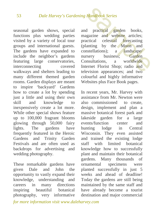seasonal garden shows, special functions plus wedding parties visited by a variety of local tour groups and international guests. The gardens have expanded to include the neighbor's gardens featuring large conservatories, interconnecting covered walkways and shelters leading to many different themed garden rooms. Garden displays are meant to inspire 'backyard' Gardens how to create a lot by spending just a little and using their own skill and knowledge to inexpensively create a lot more. While other special shows feature up to 100,000 fragrant blooms glowing through 50,000 fairy lights. The gardens have frequently featured in the Heroic Gardens and Trinity Garden Festivals and are often used as backdrops for advertising and wedding photography.

These remarkable gardens have given Dale and John the opportunity to vastly expand their knowledge, understanding and careers in many directions inspiring beautiful botanical photography, very informative

and practical garden books, magazine and website articles; practical celestial forecasting (planting by the Moon and constellations): a landscape constellations); a landscape/<br>nursery business: Garden nursery Consultations, a worldwide Internet Florist Shop; radio and television appearances; and two colourful and highly informative Websites plus Face Book pages. Handbook Series<br>
d practical garden books,<br>
intimative and website articles;<br>
intimations is a manufacture of the Moon and<br>
instellations); a landscape/<br>
insultations, a worldwide<br>
ernet Florist Shop; radio and<br>
evision ap

In recent years, Mr. Harvey with assistance from Mr. Newton were also commissioned to create, design, implement and plan a massive botanical forest park and lakeside garden for a large events/function center and hunting lodge in Central Wisconsin. They even assisted and trained the existing lodge staff with limited botanical knowledge how to successfully plant and maintain their botanical gardens. Many thousands of ornamental specimens were planted successfully in just 5 weeks and ahead of deadline! Today the gardens are still being maintained by the same staff and have already become a tourist destination and major commercial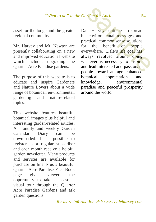asset for the lodge and the greater regional community

Mr. Harvey and Mr. Newton are presently collaborating on a new and improved educational website which includes upgrading the Quarter Acre Paradise gardens.

The purpose of this website is to educate and inspire Gardeners and Nature Lovers about a wide range of botanical, environmental, gardening and nature-related topics.

This website features beautiful botanical images plus helpful and interesting garden-related articles. A monthly and weekly Garden Calendar Diary can be downloaded. It is possible to register as a regular subscriber and each month receive a helpful garden newsletter. Many products and services are available for purchase on line. Plus a beautiful Quarter Acre Paradise Face Book page gives viewers the opportunity to take a seasonal visual tour through the Quarter Acre Paradise Gardens and ask garden questions.

Dale Harvey continues to spread his environmental messages and practical, common sense solutions for the benefit of people everywhere. Dale's life goal has always revolved around doing whatever is necessary to inspire and lead interested and passionate people toward an age enhanced botanical appreciation and knowledge, environmental paradise and peaceful prosperity around the world. For April 54<br>
Le Harvey continues to spread<br>
environmental messages and<br>
actical, common sense solutions<br>
the benefit of people<br>
erywhere. Dale's life goal has<br>
vays revolved around doing<br>
atever is necessary to inspire<br>
d